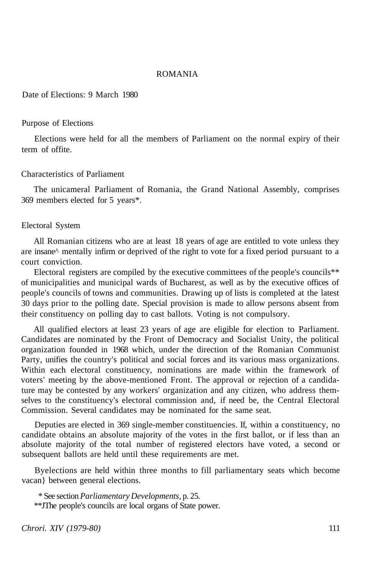### ROMANIA

Date of Elections: 9 March 1980

#### Purpose of Elections

Elections were held for all the members of Parliament on the normal expiry of their term of offite.

### Characteristics of Parliament

The unicameral Parliament of Romania, the Grand National Assembly, comprises 369 members elected for 5 years\*.

#### Electoral System

All Romanian citizens who are at least 18 years of age are entitled to vote unless they are insane^ mentally infirm or deprived of the right to vote for a fixed period pursuant to a court conviction.

Electoral registers are compiled by the executive committees of the people's councils\*\* of municipalities and municipal wards of Bucharest, as well as by the executive offices of people's councils of towns and communities. Drawing up of lists is completed at the latest 30 days prior to the polling date. Special provision is made to allow persons absent from their constituency on polling day to cast ballots. Voting is not compulsory.

All qualified electors at least 23 years of age are eligible for election to Parliament. Candidates are nominated by the Front of Democracy and Socialist Unity, the political organization founded in 1968 which, under the direction of the Romanian Communist Party, unifies the country's political and social forces and its various mass organizations. Within each electoral constituency, nominations are made within the framework of voters' meeting by the above-mentioned Front. The approval or rejection of a candidature may be contested by any workers' organization and any citizen, who address themselves to the constituency's electoral commission and, if need be, the Central Electoral Commission. Several candidates may be nominated for the same seat.

Deputies are elected in 369 single-member constituencies. If, within a constituency, no candidate obtains an absolute majority of the votes in the first ballot, or if less than an absolute majority of the total number of registered electors have voted, a second or subsequent ballots are held until these requirements are met.

Byelections are held within three months to fill parliamentary seats which become vacan} between general elections.

\* See section *Parliamentary Developments,* p. 25.

\*\*JThe people's councils are local organs of State power.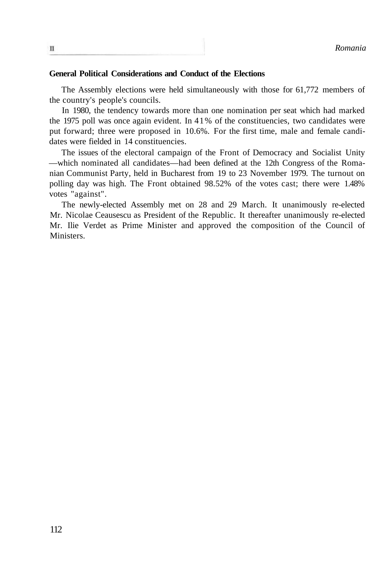#### **General Political Considerations and Conduct of the Elections**

The Assembly elections were held simultaneously with those for 61,772 members of the country's people's councils.

In 1980, the tendency towards more than one nomination per seat which had marked the 1975 poll was once again evident. In 41% of the constituencies, two candidates were put forward; three were proposed in 10.6%. For the first time, male and female candidates were fielded in 14 constituencies.

The issues of the electoral campaign of the Front of Democracy and Socialist Unity —which nominated all candidates—had been defined at the 12th Congress of the Romanian Communist Party, held in Bucharest from 19 to 23 November 1979. The turnout on polling day was high. The Front obtained 98.52% of the votes cast; there were 1.48% votes "against".

The newly-elected Assembly met on 28 and 29 March. It unanimously re-elected Mr. Nicolae Ceausescu as President of the Republic. It thereafter unanimously re-elected Mr. Ilie Verdet as Prime Minister and approved the composition of the Council of Ministers.